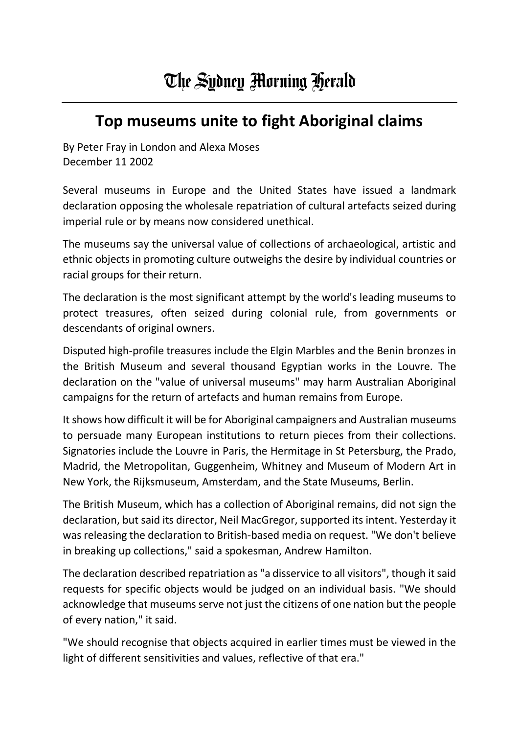## **Top museums unite to fight Aboriginal claims**

By Peter Fray in London and Alexa Moses December 11 2002

Several museums in Europe and the United States have issued a landmark declaration opposing the wholesale repatriation of cultural artefacts seized during imperial rule or by means now considered unethical.

The museums say the universal value of collections of archaeological, artistic and ethnic objects in promoting culture outweighs the desire by individual countries or racial groups for their return.

The declaration is the most significant attempt by the world's leading museums to protect treasures, often seized during colonial rule, from governments or descendants of original owners.

Disputed high-profile treasures include the Elgin Marbles and the Benin bronzes in the British Museum and several thousand Egyptian works in the Louvre. The declaration on the "value of universal museums" may harm Australian Aboriginal campaigns for the return of artefacts and human remains from Europe.

It shows how difficult it will be for Aboriginal campaigners and Australian museums to persuade many European institutions to return pieces from their collections. Signatories include the Louvre in Paris, the Hermitage in St Petersburg, the Prado, Madrid, the Metropolitan, Guggenheim, Whitney and Museum of Modern Art in New York, the Rijksmuseum, Amsterdam, and the State Museums, Berlin.

The British Museum, which has a collection of Aboriginal remains, did not sign the declaration, but said its director, Neil MacGregor, supported its intent. Yesterday it was releasing the declaration to British-based media on request. "We don't believe in breaking up collections," said a spokesman, Andrew Hamilton.

The declaration described repatriation as "a disservice to all visitors", though it said requests for specific objects would be judged on an individual basis. "We should acknowledge that museums serve not just the citizens of one nation but the people of every nation," it said.

"We should recognise that objects acquired in earlier times must be viewed in the light of different sensitivities and values, reflective of that era."